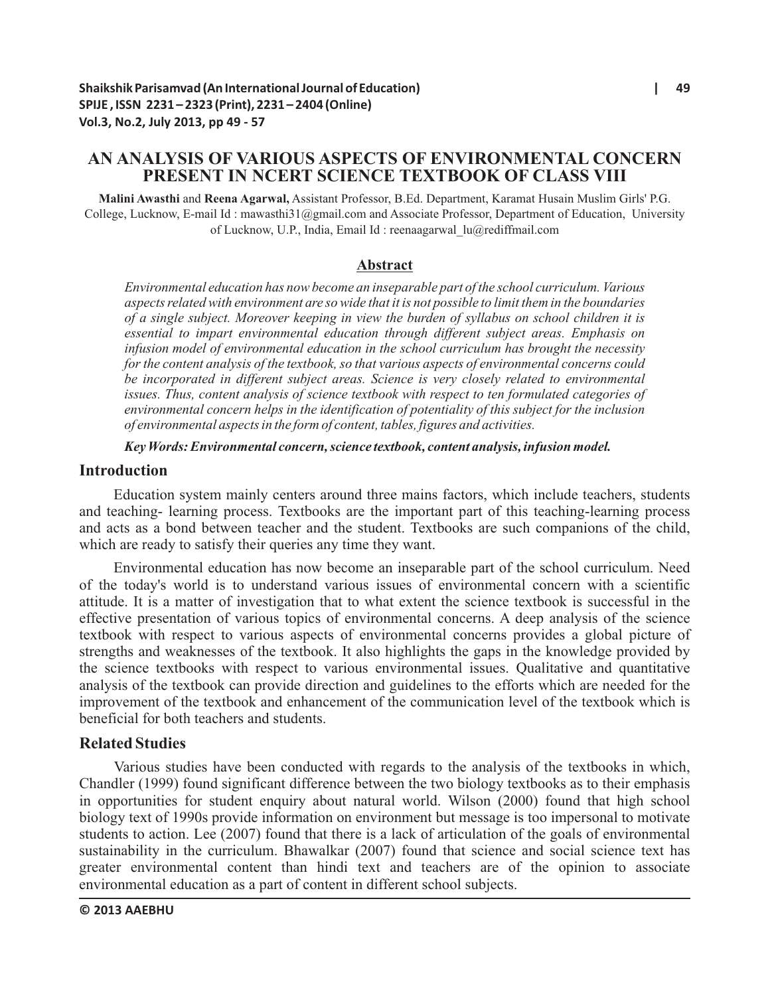# **AN ANALYSIS OF VARIOUS ASPECTS OF ENVIRONMENTAL CONCERN PRESENT IN NCERT SCIENCE TEXTBOOK OF CLASS VIII**

**Malini Awasthi** and **Reena Agarwal,** Assistant Professor, B.Ed. Department, Karamat Husain Muslim Girls' P.G. College, Lucknow, E-mail Id : mawasthi31@gmail.com and Associate Professor, Department of Education, University of Lucknow, U.P., India, Email Id : reenaagarwal\_lu@rediffmail.com

### **Abstract**

*Environmental education has now become an inseparable part of the school curriculum. Various aspects related with environment are so wide that it is not possible to limit them in the boundaries of a single subject. Moreover keeping in view the burden of syllabus on school children it is essential to impart environmental education through different subject areas. Emphasis on infusion model of environmental education in the school curriculum has brought the necessity for the content analysis of the textbook, so that various aspects of environmental concerns could be incorporated in different subject areas. Science is very closely related to environmental issues. Thus, content analysis of science textbook with respect to ten formulated categories of environmental concern helps in the identification of potentiality of this subject for the inclusion of environmental aspects in the form of content, tables, figures and activities.*

#### *Key Words: Environmental concern, science textbook, content analysis, infusion model.*

### **Introduction**

Education system mainly centers around three mains factors, which include teachers, students and teaching- learning process. Textbooks are the important part of this teaching-learning process and acts as a bond between teacher and the student. Textbooks are such companions of the child, which are ready to satisfy their queries any time they want.

Environmental education has now become an inseparable part of the school curriculum. Need of the today's world is to understand various issues of environmental concern with a scientific attitude. It is a matter of investigation that to what extent the science textbook is successful in the effective presentation of various topics of environmental concerns. A deep analysis of the science textbook with respect to various aspects of environmental concerns provides a global picture of strengths and weaknesses of the textbook. It also highlights the gaps in the knowledge provided by the science textbooks with respect to various environmental issues. Qualitative and quantitative analysis of the textbook can provide direction and guidelines to the efforts which are needed for the improvement of the textbook and enhancement of the communication level of the textbook which is beneficial for both teachers and students.

# **Related Studies**

Various studies have been conducted with regards to the analysis of the textbooks in which, Chandler (1999) found significant difference between the two biology textbooks as to their emphasis in opportunities for student enquiry about natural world. Wilson (2000) found that high school biology text of 1990s provide information on environment but message is too impersonal to motivate students to action. Lee (2007) found that there is a lack of articulation of the goals of environmental sustainability in the curriculum. Bhawalkar (2007) found that science and social science text has greater environmental content than hindi text and teachers are of the opinion to associate environmental education as a part of content in different school subjects.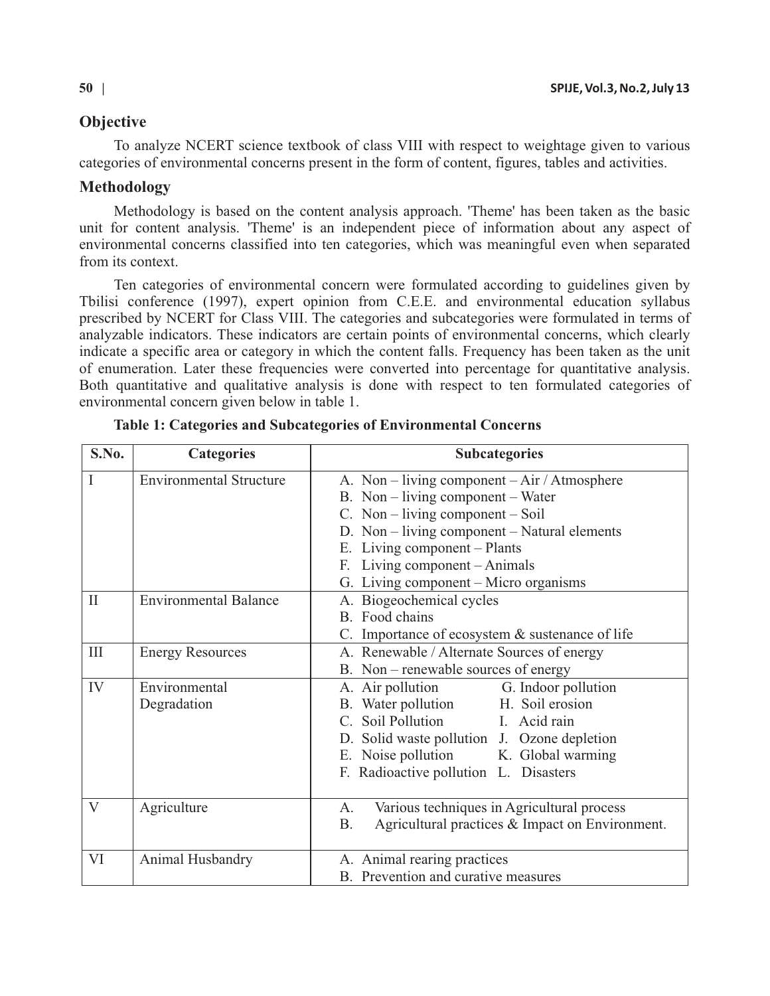# **Objective**

To analyze NCERT science textbook of class VIII with respect to weightage given to various categories of environmental concerns present in the form of content, figures, tables and activities.

# **Methodology**

Methodology is based on the content analysis approach. 'Theme' has been taken as the basic unit for content analysis. 'Theme' is an independent piece of information about any aspect of environmental concerns classified into ten categories, which was meaningful even when separated from its context.

Ten categories of environmental concern were formulated according to guidelines given by Tbilisi conference (1997), expert opinion from C.E.E. and environmental education syllabus prescribed by NCERT for Class VIII. The categories and subcategories were formulated in terms of analyzable indicators. These indicators are certain points of environmental concerns, which clearly indicate a specific area or category in which the content falls. Frequency has been taken as the unit of enumeration. Later these frequencies were converted into percentage for quantitative analysis. Both quantitative and qualitative analysis is done with respect to ten formulated categories of environmental concern given below in table 1.

| S.No.        | <b>Categories</b>              | <b>Subcategories</b>                                                                                                                                                                                                                                                                  |  |  |  |  |  |  |
|--------------|--------------------------------|---------------------------------------------------------------------------------------------------------------------------------------------------------------------------------------------------------------------------------------------------------------------------------------|--|--|--|--|--|--|
| I            | <b>Environmental Structure</b> | A. Non – living component – $Air / Atmosphere$<br>B. Non $-$ living component $-$ Water<br>C. Non – living component – Soil<br>D. Non – living component – Natural elements<br>E. Living component - Plants<br>F. Living component - Animals<br>G. Living component – Micro organisms |  |  |  |  |  |  |
| $\mathbf{I}$ | <b>Environmental Balance</b>   | A. Biogeochemical cycles<br>B. Food chains<br>C. Importance of ecosystem $&$ sustenance of life                                                                                                                                                                                       |  |  |  |  |  |  |
| III          | <b>Energy Resources</b>        | A. Renewable / Alternate Sources of energy<br>B. Non - renewable sources of energy                                                                                                                                                                                                    |  |  |  |  |  |  |
| IV           | Environmental<br>Degradation   | A. Air pollution<br>G. Indoor pollution<br>H. Soil erosion<br>B. Water pollution<br>C. Soil Pollution I. Acid rain<br>D. Solid waste pollution J. Ozone depletion<br>E. Noise pollution K. Global warming<br>F. Radioactive pollution L. Disasters                                    |  |  |  |  |  |  |
| V            | Agriculture                    | Various techniques in Agricultural process<br>А.<br>Agricultural practices & Impact on Environment.<br><b>B.</b>                                                                                                                                                                      |  |  |  |  |  |  |
| VI           | Animal Husbandry               | A. Animal rearing practices<br>B. Prevention and curative measures                                                                                                                                                                                                                    |  |  |  |  |  |  |

**Table 1: Categories and Subcategories of Environmental Concerns**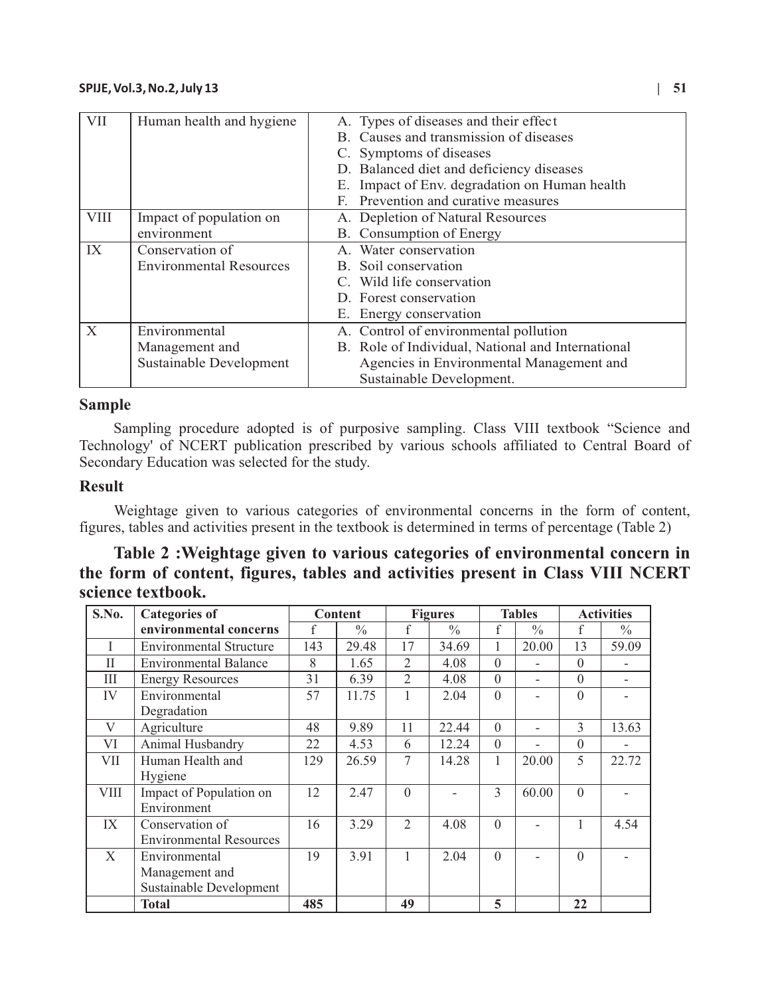| <b>VII</b>  | Human health and hygiene       | A. Types of diseases and their effect             |  |  |  |  |  |
|-------------|--------------------------------|---------------------------------------------------|--|--|--|--|--|
|             |                                | B. Causes and transmission of diseases            |  |  |  |  |  |
|             |                                | C. Symptoms of diseases                           |  |  |  |  |  |
|             |                                | D. Balanced diet and deficiency diseases          |  |  |  |  |  |
|             |                                | Impact of Env. degradation on Human health<br>Е.  |  |  |  |  |  |
|             |                                | Prevention and curative measures<br>F.            |  |  |  |  |  |
| <b>VIII</b> | Impact of population on        | A. Depletion of Natural Resources                 |  |  |  |  |  |
|             | environment                    | B. Consumption of Energy                          |  |  |  |  |  |
| IX          | Conservation of                | A. Water conservation                             |  |  |  |  |  |
|             | <b>Environmental Resources</b> | B. Soil conservation                              |  |  |  |  |  |
|             |                                | C. Wild life conservation                         |  |  |  |  |  |
|             |                                | D. Forest conservation                            |  |  |  |  |  |
|             |                                | E. Energy conservation                            |  |  |  |  |  |
| X           | Environmental                  | A. Control of environmental pollution             |  |  |  |  |  |
|             | Management and                 | B. Role of Individual, National and International |  |  |  |  |  |
|             | Sustainable Development        | Agencies in Environmental Management and          |  |  |  |  |  |
|             |                                | Sustainable Development.                          |  |  |  |  |  |

### **Sample**

Sampling procedure adopted is of purposive sampling. Class VIII textbook "Science and Technology' of NCERT publication prescribed by various schools affiliated to Central Board of Secondary Education was selected for the study.

# **Result**

Weightage given to various categories of environmental concerns in the form of content, figures, tables and activities present in the textbook is determined in terms of percentage (Table 2)

# **Table 2 :Weightage given to various categories of environmental concern in the form of content, figures, tables and activities present in Class VIII NCERT science textbook.**

| S.No. | <b>Categories of</b>           | <b>Content</b> |               | <b>Figures</b> |               | <b>Tables</b> |               | <b>Activities</b> |               |
|-------|--------------------------------|----------------|---------------|----------------|---------------|---------------|---------------|-------------------|---------------|
|       | environmental concerns         |                | $\frac{0}{0}$ | f              | $\frac{0}{0}$ | f             | $\frac{0}{0}$ | f                 | $\frac{0}{0}$ |
| Ι     | <b>Environmental Structure</b> | 143            | 29.48         | 17             | 34.69         |               | 20.00         | 13                | 59.09         |
| H     | <b>Environmental Balance</b>   | 8              | 1.65          | $\overline{2}$ | 4.08          | $\mathbf{0}$  |               | $\theta$          |               |
| Ш     | <b>Energy Resources</b>        | 31             | 6.39          | $\overline{2}$ | 4.08          | $\theta$      |               | $\theta$          |               |
| IV    | Environmental                  | 57             | 11.75         |                | 2.04          | $\Omega$      |               | $\mathbf{0}$      |               |
|       | Degradation                    |                |               |                |               |               |               |                   |               |
| V     | Agriculture                    | 48             | 9.89          | 11             | 22.44         | $\theta$      |               | 3                 | 13.63         |
| VI    | Animal Husbandry               | 22             | 4.53          | 6              | 12.24         | $\mathbf{0}$  |               | $\theta$          |               |
| VII   | Human Health and               | 129            | 26.59         | 7              | 14.28         | 1             | 20.00         | 5                 | 22.72         |
|       | Hygiene                        |                |               |                |               |               |               |                   |               |
| VIII  | Impact of Population on        | 12             | 2.47          | $\Omega$       |               | 3             | 60.00         | $\Omega$          |               |
|       | Environment                    |                |               |                |               |               |               |                   |               |
| IX    | Conservation of                | 16             | 3.29          | $\overline{2}$ | 4.08          | $\Omega$      |               |                   | 4.54          |
|       | <b>Environmental Resources</b> |                |               |                |               |               |               |                   |               |
| X     | Environmental                  | 19             | 3.91          | $\mathbf{1}$   | 2.04          | $\Omega$      |               | $\Omega$          |               |
|       | Management and                 |                |               |                |               |               |               |                   |               |
|       | Sustainable Development        |                |               |                |               |               |               |                   |               |
|       | <b>Total</b>                   | 485            |               | 49             |               | 5             |               | 22                |               |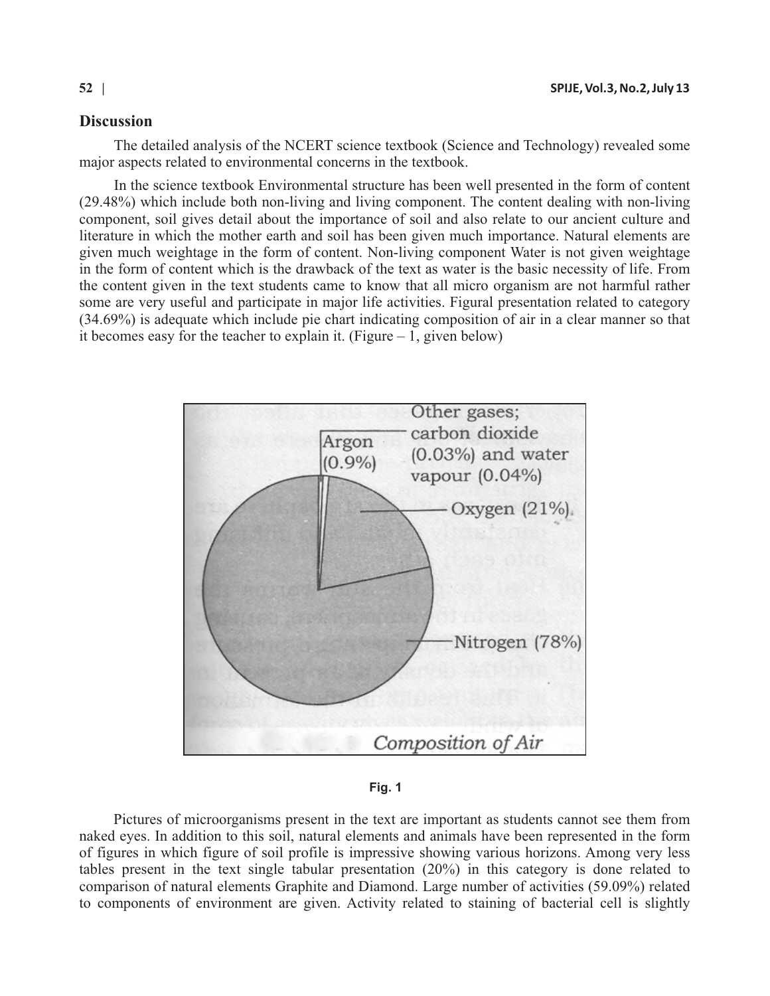# **Discussion**

The detailed analysis of the NCERT science textbook (Science and Technology) revealed some major aspects related to environmental concerns in the textbook.

In the science textbook Environmental structure has been well presented in the form of content (29.48%) which include both non-living and living component. The content dealing with non-living component, soil gives detail about the importance of soil and also relate to our ancient culture and literature in which the mother earth and soil has been given much importance. Natural elements are given much weightage in the form of content. Non-living component Water is not given weightage in the form of content which is the drawback of the text as water is the basic necessity of life. From the content given in the text students came to know that all micro organism are not harmful rather some are very useful and participate in major life activities. Figural presentation related to category (34.69%) is adequate which include pie chart indicating composition of air in a clear manner so that it becomes easy for the teacher to explain it. (Figure  $-1$ , given below)



**Fig. 1**

Pictures of microorganisms present in the text are important as students cannot see them from naked eyes. In addition to this soil, natural elements and animals have been represented in the form of figures in which figure of soil profile is impressive showing various horizons. Among very less tables present in the text single tabular presentation (20%) in this category is done related to comparison of natural elements Graphite and Diamond. Large number of activities (59.09%) related to components of environment are given. Activity related to staining of bacterial cell is slightly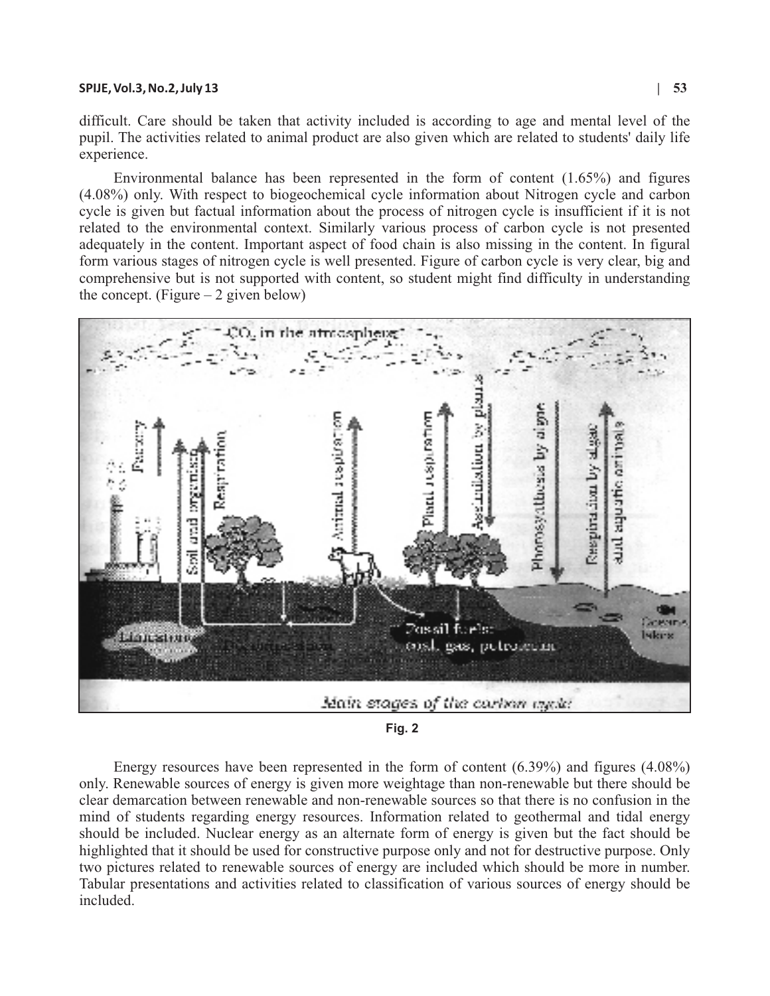difficult. Care should be taken that activity included is according to age and mental level of the pupil. The activities related to animal product are also given which are related to students' daily life experience.

Environmental balance has been represented in the form of content (1.65%) and figures (4.08%) only. With respect to biogeochemical cycle information about Nitrogen cycle and carbon cycle is given but factual information about the process of nitrogen cycle is insufficient if it is not related to the environmental context. Similarly various process of carbon cycle is not presented adequately in the content. Important aspect of food chain is also missing in the content. In figural form various stages of nitrogen cycle is well presented. Figure of carbon cycle is very clear, big and comprehensive but is not supported with content, so student might find difficulty in understanding the concept. (Figure  $-2$  given below)



**Fig. 2**

Energy resources have been represented in the form of content (6.39%) and figures (4.08%) only. Renewable sources of energy is given more weightage than non-renewable but there should be clear demarcation between renewable and non-renewable sources so that there is no confusion in the mind of students regarding energy resources. Information related to geothermal and tidal energy should be included. Nuclear energy as an alternate form of energy is given but the fact should be highlighted that it should be used for constructive purpose only and not for destructive purpose. Only two pictures related to renewable sources of energy are included which should be more in number. Tabular presentations and activities related to classification of various sources of energy should be included.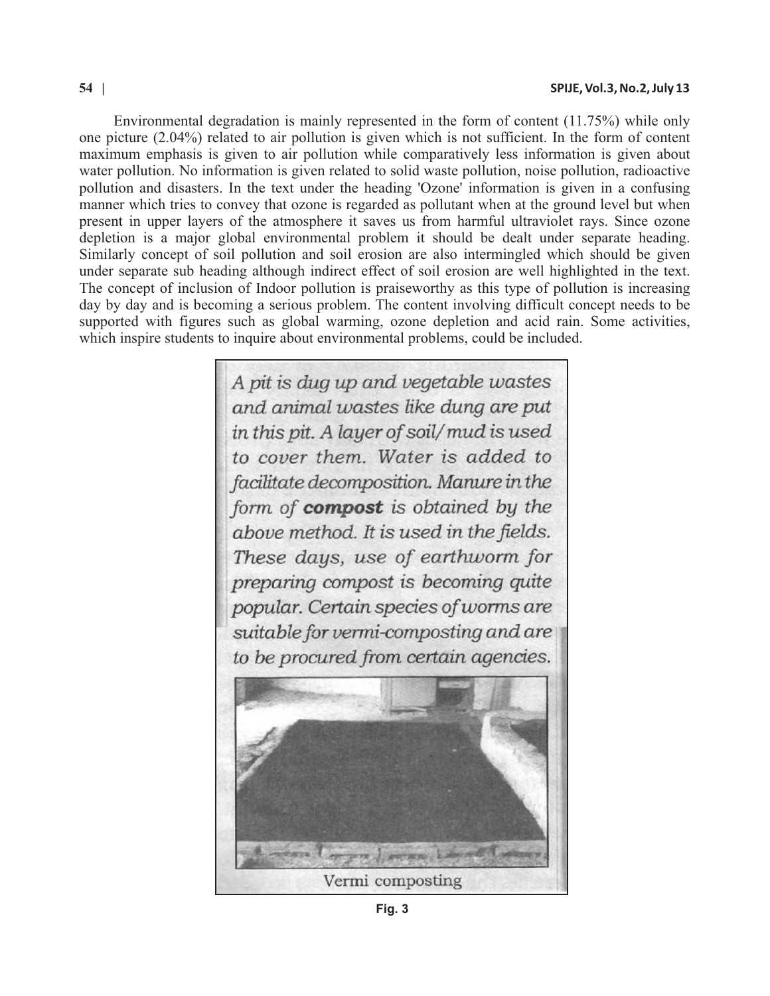Environmental degradation is mainly represented in the form of content (11.75%) while only one picture (2.04%) related to air pollution is given which is not sufficient. In the form of content maximum emphasis is given to air pollution while comparatively less information is given about water pollution. No information is given related to solid waste pollution, noise pollution, radioactive pollution and disasters. In the text under the heading 'Ozone' information is given in a confusing manner which tries to convey that ozone is regarded as pollutant when at the ground level but when present in upper layers of the atmosphere it saves us from harmful ultraviolet rays. Since ozone depletion is a major global environmental problem it should be dealt under separate heading. Similarly concept of soil pollution and soil erosion are also intermingled which should be given under separate sub heading although indirect effect of soil erosion are well highlighted in the text. The concept of inclusion of Indoor pollution is praiseworthy as this type of pollution is increasing day by day and is becoming a serious problem. The content involving difficult concept needs to be supported with figures such as global warming, ozone depletion and acid rain. Some activities, which inspire students to inquire about environmental problems, could be included.

> A pit is dug up and vegetable wastes and animal wastes like dung are put in this pit. A layer of soil/mud is used to cover them. Water is added to facilitate decomposition. Manure in the form of **compost** is obtained by the above method. It is used in the fields. These days, use of earthworm for preparing compost is becoming quite popular. Certain species of worms are suitable for vermi-composting and are to be procured from certain agencies. Vermi composting

**Fig. 3**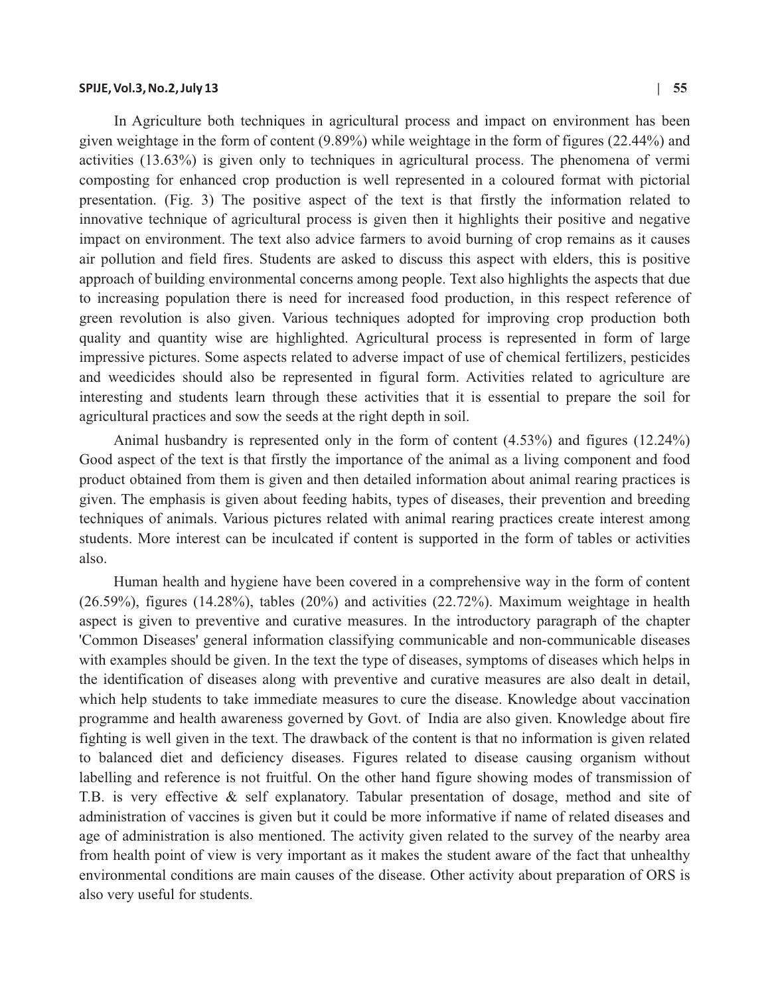In Agriculture both techniques in agricultural process and impact on environment has been given weightage in the form of content (9.89%) while weightage in the form of figures (22.44%) and activities (13.63%) is given only to techniques in agricultural process. The phenomena of vermi composting for enhanced crop production is well represented in a coloured format with pictorial presentation. (Fig. 3) The positive aspect of the text is that firstly the information related to innovative technique of agricultural process is given then it highlights their positive and negative impact on environment. The text also advice farmers to avoid burning of crop remains as it causes air pollution and field fires. Students are asked to discuss this aspect with elders, this is positive approach of building environmental concerns among people. Text also highlights the aspects that due to increasing population there is need for increased food production, in this respect reference of green revolution is also given. Various techniques adopted for improving crop production both quality and quantity wise are highlighted. Agricultural process is represented in form of large impressive pictures. Some aspects related to adverse impact of use of chemical fertilizers, pesticides and weedicides should also be represented in figural form. Activities related to agriculture are interesting and students learn through these activities that it is essential to prepare the soil for agricultural practices and sow the seeds at the right depth in soil.

Animal husbandry is represented only in the form of content (4.53%) and figures (12.24%) Good aspect of the text is that firstly the importance of the animal as a living component and food product obtained from them is given and then detailed information about animal rearing practices is given. The emphasis is given about feeding habits, types of diseases, their prevention and breeding techniques of animals. Various pictures related with animal rearing practices create interest among students. More interest can be inculcated if content is supported in the form of tables or activities also.

Human health and hygiene have been covered in a comprehensive way in the form of content (26.59%), figures (14.28%), tables (20%) and activities (22.72%). Maximum weightage in health aspect is given to preventive and curative measures. In the introductory paragraph of the chapter 'Common Diseases' general information classifying communicable and non-communicable diseases with examples should be given. In the text the type of diseases, symptoms of diseases which helps in the identification of diseases along with preventive and curative measures are also dealt in detail, which help students to take immediate measures to cure the disease. Knowledge about vaccination programme and health awareness governed by Govt. of India are also given. Knowledge about fire fighting is well given in the text. The drawback of the content is that no information is given related to balanced diet and deficiency diseases. Figures related to disease causing organism without labelling and reference is not fruitful. On the other hand figure showing modes of transmission of T.B. is very effective & self explanatory. Tabular presentation of dosage, method and site of administration of vaccines is given but it could be more informative if name of related diseases and age of administration is also mentioned. The activity given related to the survey of the nearby area from health point of view is very important as it makes the student aware of the fact that unhealthy environmental conditions are main causes of the disease. Other activity about preparation of ORS is also very useful for students.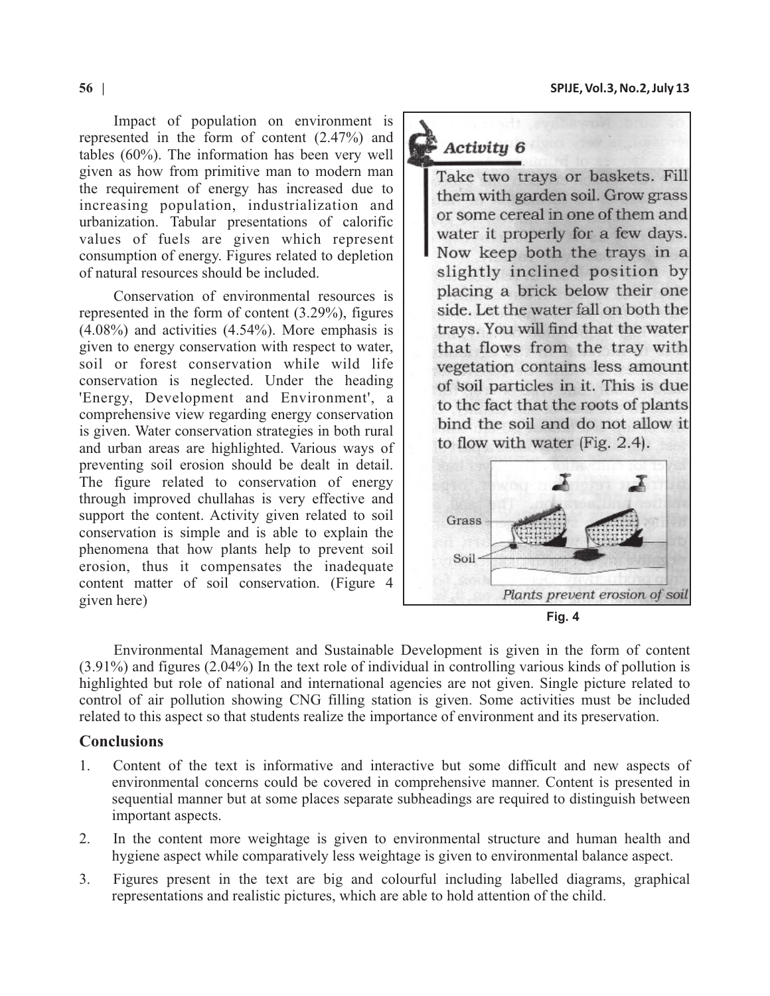Impact of population on environment is represented in the form of content (2.47%) and tables (60%). The information has been very well given as how from primitive man to modern man the requirement of energy has increased due to increasing population, industrialization and urbanization. Tabular presentations of calorific values of fuels are given which represent consumption of energy. Figures related to depletion of natural resources should be included.

Conservation of environmental resources is represented in the form of content (3.29%), figures (4.08%) and activities (4.54%). More emphasis is given to energy conservation with respect to water, soil or forest conservation while wild life conservation is neglected. Under the heading 'Energy, Development and Environment', a comprehensive view regarding energy conservation is given. Water conservation strategies in both rural and urban areas are highlighted. Various ways of preventing soil erosion should be dealt in detail. The figure related to conservation of energy through improved chullahas is very effective and support the content. Activity given related to soil conservation is simple and is able to explain the phenomena that how plants help to prevent soil erosion, thus it compensates the inadequate content matter of soil conservation. (Figure 4 given here)

# Activity 6

Take two trays or baskets. Fill them with garden soil. Grow grass or some cereal in one of them and water it properly for a few days. Now keep both the trays in a slightly inclined position by placing a brick below their one side. Let the water fall on both the travs. You will find that the water that flows from the tray with vegetation contains less amount of soil particles in it. This is due to the fact that the roots of plants bind the soil and do not allow it to flow with water  $(Fig. 2.4)$ .



Environmental Management and Sustainable Development is given in the form of content (3.91%) and figures (2.04%) In the text role of individual in controlling various kinds of pollution is highlighted but role of national and international agencies are not given. Single picture related to control of air pollution showing CNG filling station is given. Some activities must be included related to this aspect so that students realize the importance of environment and its preservation.

# **Conclusions**

- 1. Content of the text is informative and interactive but some difficult and new aspects of environmental concerns could be covered in comprehensive manner. Content is presented in sequential manner but at some places separate subheadings are required to distinguish between important aspects.
- 2. In the content more weightage is given to environmental structure and human health and hygiene aspect while comparatively less weightage is given to environmental balance aspect.
- 3. Figures present in the text are big and colourful including labelled diagrams, graphical representations and realistic pictures, which are able to hold attention of the child.